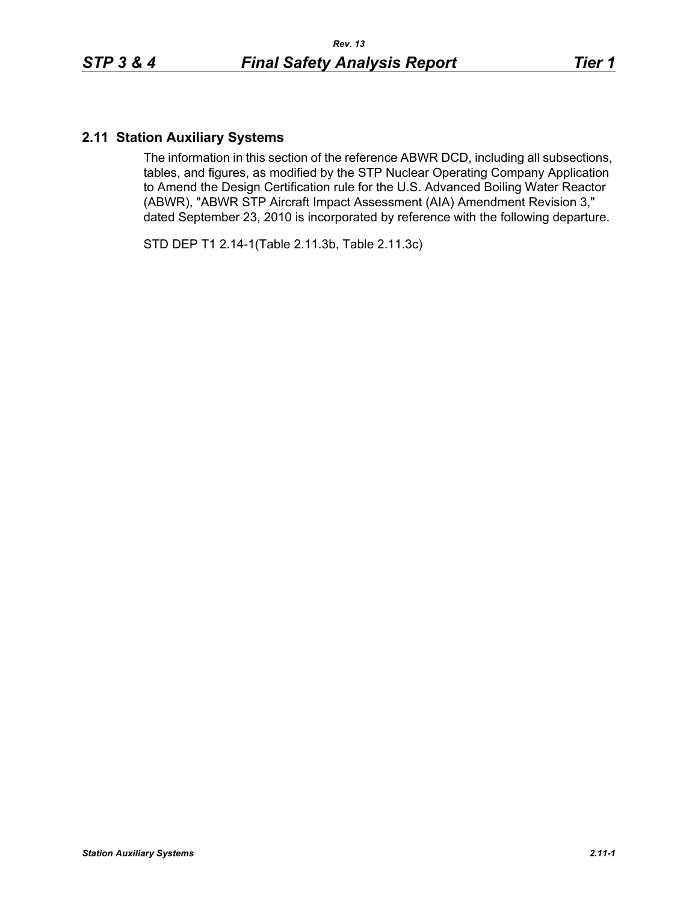## **2.11 Station Auxiliary Systems**

The information in this section of the reference ABWR DCD, including all subsections, tables, and figures, as modified by the STP Nuclear Operating Company Application to Amend the Design Certification rule for the U.S. Advanced Boiling Water Reactor (ABWR), "ABWR STP Aircraft Impact Assessment (AIA) Amendment Revision 3," dated September 23, 2010 is incorporated by reference with the following departure.

STD DEP T1 2.14-1(Table 2.11.3b, Table 2.11.3c)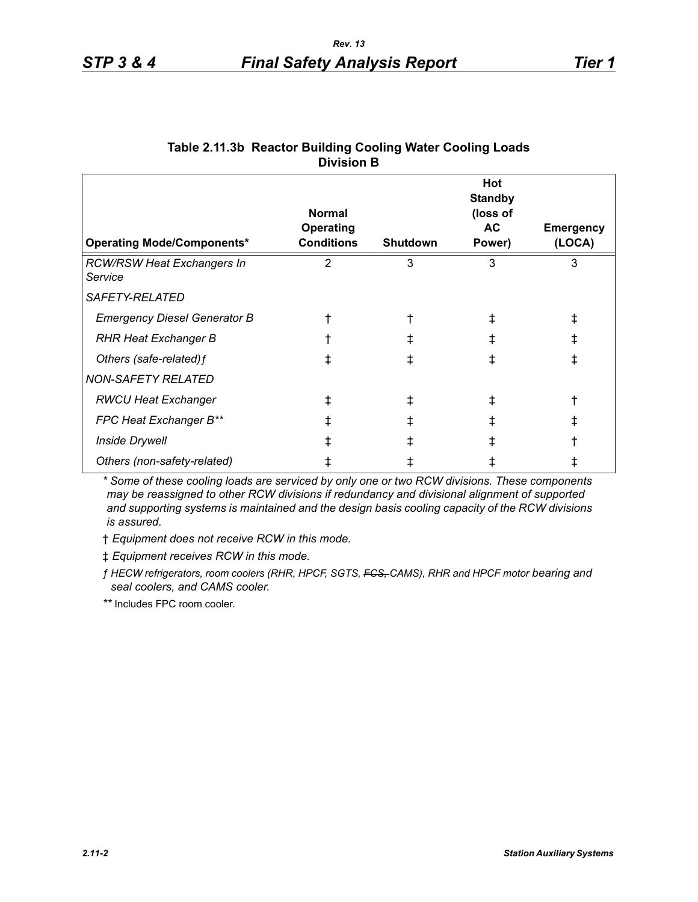| <b>Operating Mode/Components*</b>            | <b>Normal</b><br><b>Operating</b><br><b>Conditions</b> | <b>Shutdown</b> | Hot<br><b>Standby</b><br>(loss of<br>AC<br>Power) | <b>Emergency</b><br>(LOCA) |
|----------------------------------------------|--------------------------------------------------------|-----------------|---------------------------------------------------|----------------------------|
| <b>RCW/RSW Heat Exchangers In</b><br>Service | $\overline{2}$                                         | 3               | 3                                                 | 3                          |
| <i>SAFETY-RELATED</i>                        |                                                        |                 |                                                   |                            |
| <b>Emergency Diesel Generator B</b>          |                                                        |                 |                                                   | ⇟                          |
| <b>RHR Heat Exchanger B</b>                  |                                                        |                 |                                                   | ŧ                          |
| Others (safe-related) f                      | ∓                                                      |                 |                                                   | $^\ddag$                   |
| <b>NON-SAFETY RELATED</b>                    |                                                        |                 |                                                   |                            |
| <b>RWCU Heat Exchanger</b>                   | ŧ                                                      |                 | Ŧ                                                 |                            |
| FPC Heat Exchanger B**                       | ŧ                                                      |                 |                                                   | ⇟                          |
| <b>Inside Drywell</b>                        |                                                        |                 |                                                   |                            |
| Others (non-safety-related)                  |                                                        |                 |                                                   |                            |

## **Table 2.11.3b Reactor Building Cooling Water Cooling Loads Division B**

*\* Some of these cooling loads are serviced by only one or two RCW divisions. These components may be reassigned to other RCW divisions if redundancy and divisional alignment of supported and supporting systems is maintained and the design basis cooling capacity of the RCW divisions is assured.*

† *Equipment does not receive RCW in this mode.*

‡ *Equipment receives RCW in this mode.*

*ƒ HECW refrigerators, room coolers (RHR, HPCF, SGTS, FCS, CAMS), RHR and HPCF motor bearing and seal coolers, and CAMS cooler.*

*\*\** Includes FPC room cooler.